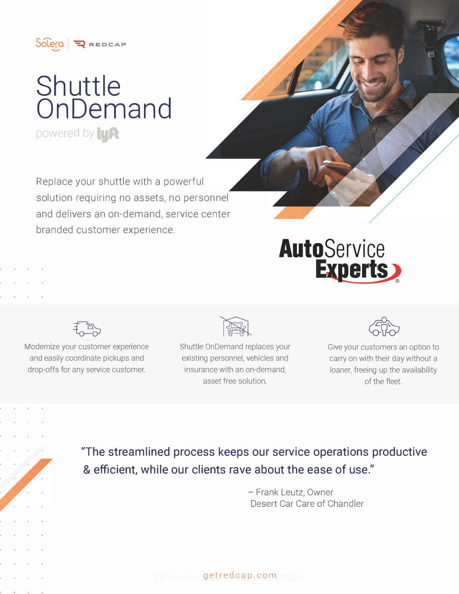

## **Shuttle OnDemand**  powered by **LyA**

Replace your shuttle with a powerful solution requiring no assets, no personnel and delivers an on-demand, service center branded customer experience.



Modernize your customer experience and easily coordinate pickups and drop-offs for any service customer.



Shuttle On Demand replaces your existing personnel, vehicles and insurance with an on-demand, asset free solution.



Give your customers an option to carry on with their day without a loaner, freeing up the availability of the fleet.

**"The streamlined process keeps our service operations productive**  & **efficient, while our clients rave about the ease of use."** 

> - Frank Leutz, Owner Desert Car Care of Chandler

$$
getredcap.com
$$